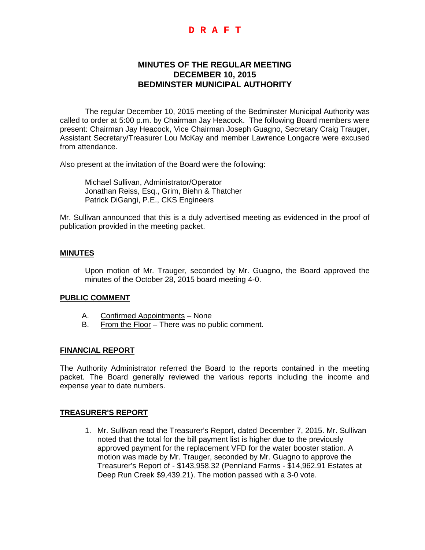## **D R A F T**

# **MINUTES OF THE REGULAR MEETING DECEMBER 10, 2015 BEDMINSTER MUNICIPAL AUTHORITY**

The regular December 10, 2015 meeting of the Bedminster Municipal Authority was called to order at 5:00 p.m. by Chairman Jay Heacock. The following Board members were present: Chairman Jay Heacock, Vice Chairman Joseph Guagno, Secretary Craig Trauger, Assistant Secretary/Treasurer Lou McKay and member Lawrence Longacre were excused from attendance.

Also present at the invitation of the Board were the following:

Michael Sullivan, Administrator/Operator Jonathan Reiss, Esq., Grim, Biehn & Thatcher Patrick DiGangi, P.E., CKS Engineers

Mr. Sullivan announced that this is a duly advertised meeting as evidenced in the proof of publication provided in the meeting packet.

#### **MINUTES**

Upon motion of Mr. Trauger, seconded by Mr. Guagno, the Board approved the minutes of the October 28, 2015 board meeting 4-0.

## **PUBLIC COMMENT**

- A. Confirmed Appointments None
- B. From the Floor There was no public comment.

#### **FINANCIAL REPORT**

The Authority Administrator referred the Board to the reports contained in the meeting packet. The Board generally reviewed the various reports including the income and expense year to date numbers.

#### **TREASURER'S REPORT**

1. Mr. Sullivan read the Treasurer's Report, dated December 7, 2015. Mr. Sullivan noted that the total for the bill payment list is higher due to the previously approved payment for the replacement VFD for the water booster station. A motion was made by Mr. Trauger, seconded by Mr. Guagno to approve the Treasurer's Report of - \$143,958.32 (Pennland Farms - \$14,962.91 Estates at Deep Run Creek \$9,439.21). The motion passed with a 3-0 vote.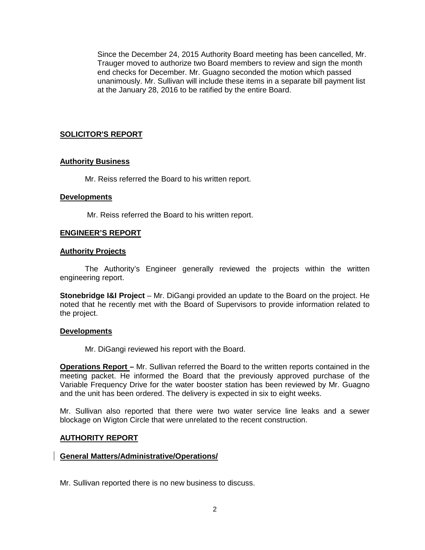Since the December 24, 2015 Authority Board meeting has been cancelled, Mr. Trauger moved to authorize two Board members to review and sign the month end checks for December. Mr. Guagno seconded the motion which passed unanimously. Mr. Sullivan will include these items in a separate bill payment list at the January 28, 2016 to be ratified by the entire Board.

## **SOLICITOR'S REPORT**

### **Authority Business**

Mr. Reiss referred the Board to his written report.

#### **Developments**

Mr. Reiss referred the Board to his written report.

### **ENGINEER'S REPORT**

#### **Authority Projects**

The Authority's Engineer generally reviewed the projects within the written engineering report.

**Stonebridge I&I Project** – Mr. DiGangi provided an update to the Board on the project. He noted that he recently met with the Board of Supervisors to provide information related to the project.

#### **Developments**

Mr. DiGangi reviewed his report with the Board.

**Operations Report –** Mr. Sullivan referred the Board to the written reports contained in the meeting packet. He informed the Board that the previously approved purchase of the Variable Frequency Drive for the water booster station has been reviewed by Mr. Guagno and the unit has been ordered. The delivery is expected in six to eight weeks.

Mr. Sullivan also reported that there were two water service line leaks and a sewer blockage on Wigton Circle that were unrelated to the recent construction.

#### **AUTHORITY REPORT**

### **General Matters/Administrative/Operations/**

Mr. Sullivan reported there is no new business to discuss.